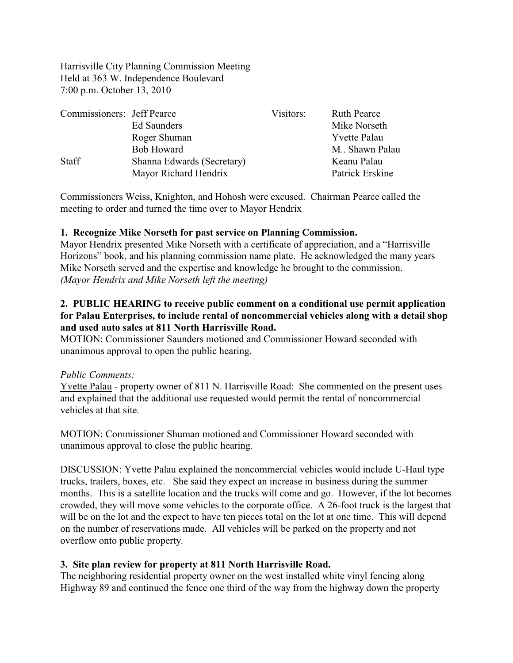Harrisville City Planning Commission Meeting Held at 363 W. Independence Boulevard 7:00 p.m. October 13, 2010

| Commissioners: Jeff Pearce |                            | Visitors: | <b>Ruth Pearce</b>  |
|----------------------------|----------------------------|-----------|---------------------|
|                            | Ed Saunders                |           | Mike Norseth        |
|                            | Roger Shuman               |           | <b>Yvette Palau</b> |
|                            | <b>Bob Howard</b>          |           | M Shawn Palau       |
| <b>Staff</b>               | Shanna Edwards (Secretary) |           | Keanu Palau         |
|                            | Mayor Richard Hendrix      |           | Patrick Erskine     |

Commissioners Weiss, Knighton, and Hohosh were excused. Chairman Pearce called the meeting to order and turned the time over to Mayor Hendrix

### **1. Recognize Mike Norseth for past service on Planning Commission.**

Mayor Hendrix presented Mike Norseth with a certificate of appreciation, and a "Harrisville Horizons" book, and his planning commission name plate. He acknowledged the many years Mike Norseth served and the expertise and knowledge he brought to the commission. *(Mayor Hendrix and Mike Norseth left the meeting)*

## **2. PUBLIC HEARING to receive public comment on a conditional use permit application for Palau Enterprises, to include rental of noncommercial vehicles along with a detail shop and used auto sales at 811 North Harrisville Road.**

MOTION: Commissioner Saunders motioned and Commissioner Howard seconded with unanimous approval to open the public hearing.

#### *Public Comments:*

Yvette Palau - property owner of 811 N. Harrisville Road: She commented on the present uses and explained that the additional use requested would permit the rental of noncommercial vehicles at that site.

MOTION: Commissioner Shuman motioned and Commissioner Howard seconded with unanimous approval to close the public hearing.

DISCUSSION: Yvette Palau explained the noncommercial vehicles would include U-Haul type trucks, trailers, boxes, etc. She said they expect an increase in business during the summer months. This is a satellite location and the trucks will come and go. However, if the lot becomes crowded, they will move some vehicles to the corporate office. A 26-foot truck is the largest that will be on the lot and the expect to have ten pieces total on the lot at one time. This will depend on the number of reservations made. All vehicles will be parked on the property and not overflow onto public property.

### **3. Site plan review for property at 811 North Harrisville Road.**

The neighboring residential property owner on the west installed white vinyl fencing along Highway 89 and continued the fence one third of the way from the highway down the property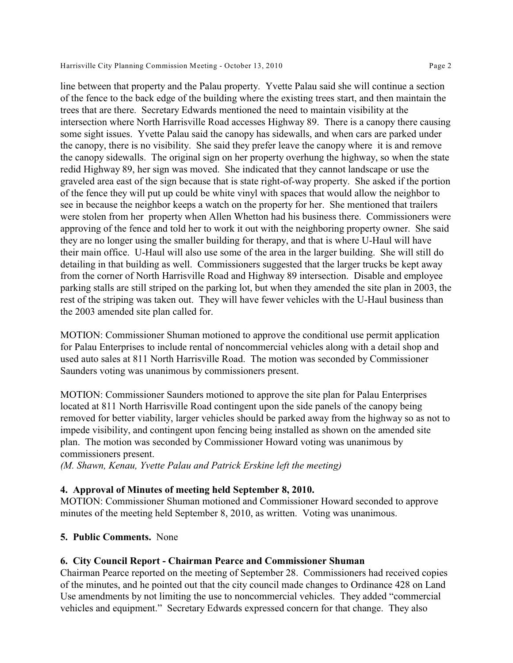line between that property and the Palau property. Yvette Palau said she will continue a section of the fence to the back edge of the building where the existing trees start, and then maintain the trees that are there. Secretary Edwards mentioned the need to maintain visibility at the intersection where North Harrisville Road accesses Highway 89. There is a canopy there causing some sight issues. Yvette Palau said the canopy has sidewalls, and when cars are parked under the canopy, there is no visibility. She said they prefer leave the canopy where it is and remove the canopy sidewalls. The original sign on her property overhung the highway, so when the state redid Highway 89, her sign was moved. She indicated that they cannot landscape or use the graveled area east of the sign because that is state right-of-way property. She asked if the portion of the fence they will put up could be white vinyl with spaces that would allow the neighbor to see in because the neighbor keeps a watch on the property for her. She mentioned that trailers were stolen from her property when Allen Whetton had his business there. Commissioners were approving of the fence and told her to work it out with the neighboring property owner. She said they are no longer using the smaller building for therapy, and that is where U-Haul will have their main office. U-Haul will also use some of the area in the larger building. She will still do detailing in that building as well. Commissioners suggested that the larger trucks be kept away from the corner of North Harrisville Road and Highway 89 intersection. Disable and employee parking stalls are still striped on the parking lot, but when they amended the site plan in 2003, the rest of the striping was taken out. They will have fewer vehicles with the U-Haul business than the 2003 amended site plan called for.

MOTION: Commissioner Shuman motioned to approve the conditional use permit application for Palau Enterprises to include rental of noncommercial vehicles along with a detail shop and used auto sales at 811 North Harrisville Road. The motion was seconded by Commissioner Saunders voting was unanimous by commissioners present.

MOTION: Commissioner Saunders motioned to approve the site plan for Palau Enterprises located at 811 North Harrisville Road contingent upon the side panels of the canopy being removed for better viability, larger vehicles should be parked away from the highway so as not to impede visibility, and contingent upon fencing being installed as shown on the amended site plan. The motion was seconded by Commissioner Howard voting was unanimous by commissioners present.

*(M. Shawn, Kenau, Yvette Palau and Patrick Erskine left the meeting)*

### **4. Approval of Minutes of meeting held September 8, 2010.**

MOTION: Commissioner Shuman motioned and Commissioner Howard seconded to approve minutes of the meeting held September 8, 2010, as written. Voting was unanimous.

### **5. Public Comments.** None

### **6. City Council Report - Chairman Pearce and Commissioner Shuman**

Chairman Pearce reported on the meeting of September 28. Commissioners had received copies of the minutes, and he pointed out that the city council made changes to Ordinance 428 on Land Use amendments by not limiting the use to noncommercial vehicles. They added "commercial vehicles and equipment." Secretary Edwards expressed concern for that change. They also